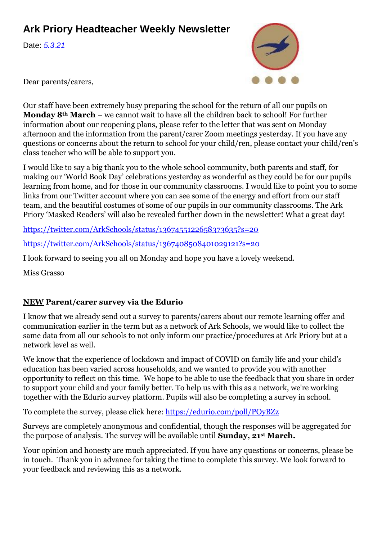## **Ark Priory Headteacher Weekly Newsletter**

Date: *5.3.21*



Dear parents/carers,

Our staff have been extremely busy preparing the school for the return of all our pupils on **Monday 8th March** – we cannot wait to have all the children back to school! For further information about our reopening plans, please refer to the letter that was sent on Monday afternoon and the information from the parent/carer Zoom meetings yesterday. If you have any questions or concerns about the return to school for your child/ren, please contact your child/ren's class teacher who will be able to support you.

I would like to say a big thank you to the whole school community, both parents and staff, for making our 'World Book Day' celebrations yesterday as wonderful as they could be for our pupils learning from home, and for those in our community classrooms. I would like to point you to some links from our Twitter account where you can see some of the energy and effort from our staff team, and the beautiful costumes of some of our pupils in our community classrooms. The Ark Priory 'Masked Readers' will also be revealed further down in the newsletter! What a great day!

<https://twitter.com/ArkSchools/status/1367455122658373635?s=20>

<https://twitter.com/ArkSchools/status/1367408508401029121?s=20>

I look forward to seeing you all on Monday and hope you have a lovely weekend.

Miss Grasso

### **NEW Parent/carer survey via the Edurio**

I know that we already send out a survey to parents/carers about our remote learning offer and communication earlier in the term but as a network of Ark Schools, we would like to collect the same data from all our schools to not only inform our practice/procedures at Ark Priory but at a network level as well.

We know that the experience of lockdown and impact of COVID on family life and your child's education has been varied across households, and we wanted to provide you with another opportunity to reflect on this time. We hope to be able to use the feedback that you share in order to support your child and your family better. To help us with this as a network, we're working together with the Edurio survey platform. Pupils will also be completing a survey in school.

To complete the survey, please click here:<https://edurio.com/poll/POyBZz>

Surveys are completely anonymous and confidential, though the responses will be aggregated for the purpose of analysis. The survey will be available until **Sunday, 21st March.**

Your opinion and honesty are much appreciated. If you have any questions or concerns, please be in touch. Thank you in advance for taking the time to complete this survey. We look forward to your feedback and reviewing this as a network.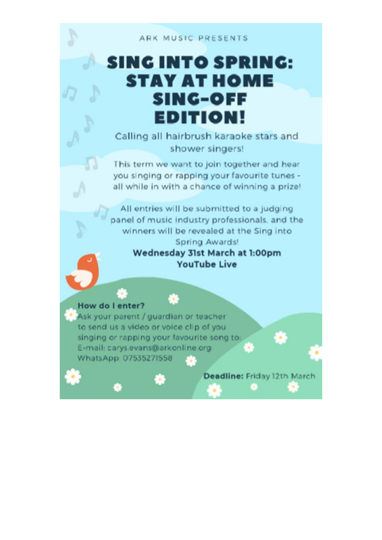#### ARK MUSIC PRESENTS

# **SING INTO SPRING: STAY AT HOME SING-OFF EDITION!**

Calling all hairbrush karaoke stars and shower singers!

This term we want to join together and hear you singing or rapping your favourite tunes all while in with a chance of winning a prize!

All entries will be submitted to a judging panel of music industry professionals, and the winners will be revealed at the Sing into Spring Awards!

## Wednesday 31st March at 1:00pm **YouTube Live**

### How do I enter?

L.

Ask your parent / guardian or teacher to send us a video or voice clip of you singing or rapping your favourite song to: E-mail: carys.evans@arkonline.org WhatsApp: 07535271558

æ.

Deadline: Friday 12th March

٠

s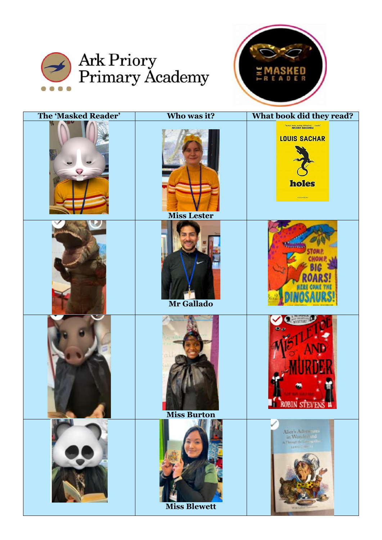



| <b>The 'Masked Reader'</b> | Who was it?         | What book did they read?                                                                                                     |
|----------------------------|---------------------|------------------------------------------------------------------------------------------------------------------------------|
|                            | <b>Miss Lester</b>  | The most moving, auction, thrilling book in Flood in<br>MALORIE BLACKMAN<br><b>LOUIS SACHAR</b><br>holes<br><b>KODASEURY</b> |
|                            | Mr Gallado          |                                                                                                                              |
|                            | <b>Miss Burton</b>  | <b>ROBIN STEVEN</b>                                                                                                          |
|                            | <b>Miss Blewett</b> | Alice's Adventure<br>A Though the Long and<br><b>LANSON-R</b>                                                                |